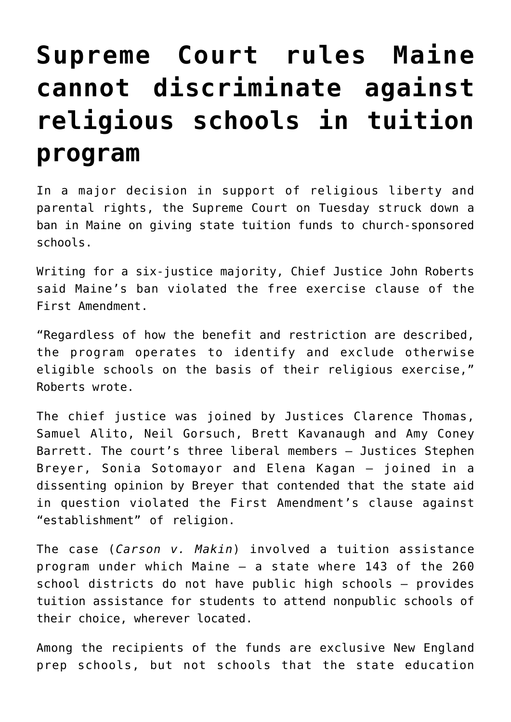## **[Supreme Court rules Maine](https://www.osvnews.com/2022/06/21/supreme-court-rules-maine-cannot-discriminate-against-religious-schools-in-tuition-program/) [cannot discriminate against](https://www.osvnews.com/2022/06/21/supreme-court-rules-maine-cannot-discriminate-against-religious-schools-in-tuition-program/) [religious schools in tuition](https://www.osvnews.com/2022/06/21/supreme-court-rules-maine-cannot-discriminate-against-religious-schools-in-tuition-program/) [program](https://www.osvnews.com/2022/06/21/supreme-court-rules-maine-cannot-discriminate-against-religious-schools-in-tuition-program/)**

In a major decision in support of religious liberty and parental rights, the Supreme Court on Tuesday struck down a ban in Maine on giving state tuition funds to church-sponsored schools.

Writing for a six-justice majority, Chief Justice John Roberts said Maine's ban violated the free exercise clause of the First Amendment.

"Regardless of how the benefit and restriction are described, the program operates to identify and exclude otherwise eligible schools on the basis of their religious exercise," Roberts wrote.

The chief justice was joined by Justices Clarence Thomas, Samuel Alito, Neil Gorsuch, Brett Kavanaugh and Amy Coney Barrett. The court's three liberal members — Justices Stephen Breyer, Sonia Sotomayor and Elena Kagan — joined in a dissenting opinion by Breyer that contended that the state aid in question violated the First Amendment's clause against "establishment" of religion.

The case (*Carson v. Makin*) involved a tuition assistance program under which Maine — a state where 143 of the 260 school districts do not have public high schools — provides tuition assistance for students to attend nonpublic schools of their choice, wherever located.

Among the recipients of the funds are exclusive New England prep schools, but not schools that the state education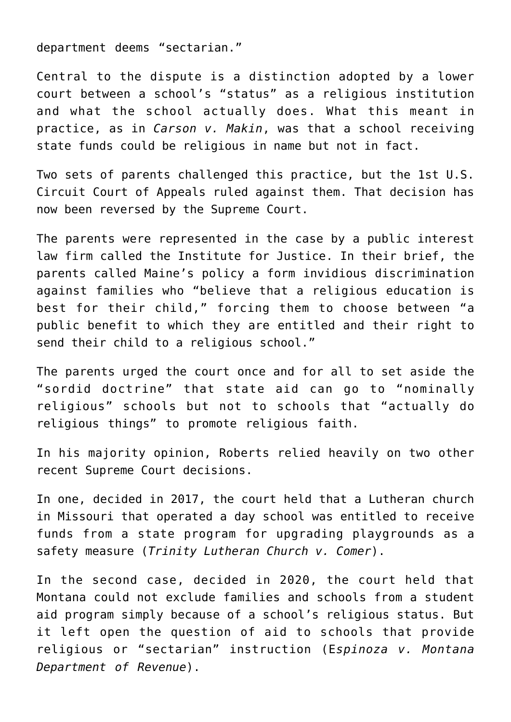department deems "sectarian."

Central to the dispute is a distinction adopted by a lower court between a school's "status" as a religious institution and what the school actually does. What this meant in practice, as in *Carson v. Makin*, was that a school receiving state funds could be religious in name but not in fact.

Two sets of parents challenged this practice, but the 1st U.S. Circuit Court of Appeals ruled against them. That decision has now been reversed by the Supreme Court.

The parents were represented in the case by a public interest law firm called the Institute for Justice. In their brief, the parents called Maine's policy a form invidious discrimination against families who "believe that a religious education is best for their child," forcing them to choose between "a public benefit to which they are entitled and their right to send their child to a religious school."

The parents urged the court once and for all to set aside the "sordid doctrine" that state aid can go to "nominally religious" schools but not to schools that "actually do religious things" to promote religious faith.

In his majority opinion, Roberts relied heavily on two other recent Supreme Court decisions.

In one, decided in 2017, the court held that a Lutheran church in Missouri that operated a day school was entitled to receive funds from a state program for upgrading playgrounds as a safety measure (*Trinity Lutheran Church v. Comer*).

In the second case, decided in 2020, the court held that Montana could not exclude families and schools from a student aid program simply because of a school's religious status. But it left open the question of aid to schools that provide religious or "sectarian" instruction (E*spinoza v. Montana Department of Revenue*).